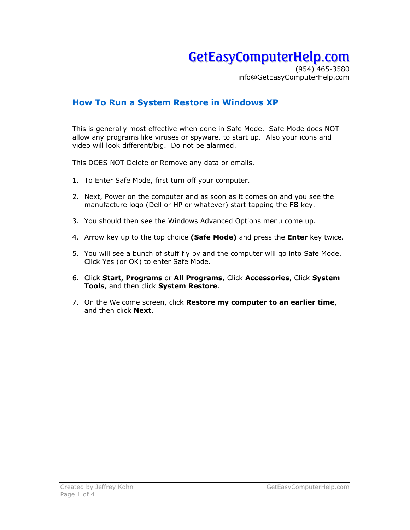## GetEasyComputerHelp.com

(954) 465-3580 info@GetEasyComputerHelp.com

## **How To Run a System Restore in Windows XP**

This is generally most effective when done in Safe Mode. Safe Mode does NOT allow any programs like viruses or spyware, to start up. Also your icons and video will look different/big. Do not be alarmed.

This DOES NOT Delete or Remove any data or emails.

- 1. To Enter Safe Mode, first turn off your computer.
- 2. Next, Power on the computer and as soon as it comes on and you see the manufacture logo (Dell or HP or whatever) start tapping the **F8** key.
- 3. You should then see the Windows Advanced Options menu come up.
- 4. Arrow key up to the top choice **(Safe Mode)** and press the **Enter** key twice.
- 5. You will see a bunch of stuff fly by and the computer will go into Safe Mode. Click Yes (or OK) to enter Safe Mode.
- 6. Click **Start, Programs** or **All Programs**, Click **Accessories**, Click **System Tools**, and then click **System Restore**.
- 7. On the Welcome screen, click **Restore my computer to an earlier time**, and then click **Next**.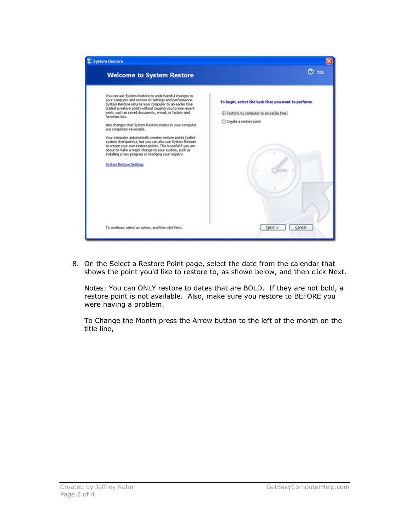

8. On the Select a Restore Point page, select the date from the calendar that shows the point you'd like to restore to, as shown below, and then click Next.

Notes: You can ONLY restore to dates that are BOLD. If they are not bold, a restore point is not available. Also, make sure you restore to BEFORE you were having a problem.

To Change the Month press the Arrow button to the left of the month on the title line,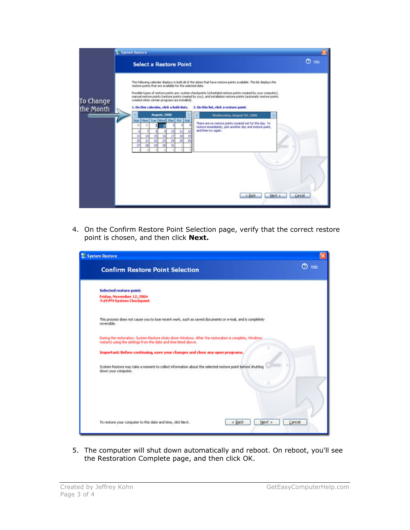|                        | System Restore                                                                                                                                                                                                                                                                                                                                                                                                                                                                                                                                            |
|------------------------|-----------------------------------------------------------------------------------------------------------------------------------------------------------------------------------------------------------------------------------------------------------------------------------------------------------------------------------------------------------------------------------------------------------------------------------------------------------------------------------------------------------------------------------------------------------|
|                        | $\circledcirc$ then<br><b>Select a Restore Point</b>                                                                                                                                                                                                                                                                                                                                                                                                                                                                                                      |
| To Change<br>the Month | The following calendar displays in bold all of the dates that have restore points available. The lat displays the<br>restore points that are available for the selected date.<br>Possible types of restore points are: system checkpoints (scheduled restore points created by your computer),<br>manual restore points (restore points created by you), and installation restore points (automatic restore points<br>created when certain programs are installed).<br>1. On this calendar, click a bold date.<br>2. On this list, click a restore point. |
|                        | <b>August, 2006</b><br>Wednesday, August 02, 2006                                                                                                                                                                                                                                                                                                                                                                                                                                                                                                         |
|                        | Mon Tue Wed Thu<br>Fri Sat<br>Sun<br>There are no restore points created yet for this day. To<br>31<br>$^{30}$<br>restore immediately, pick another day and restore point,<br>and then try again.<br>10<br>11<br>12<br>6<br>15<br>16<br>17<br>13<br>14<br>18<br>19<br>22<br>23<br>24<br>żs<br>26<br>20<br>21<br>29<br>28<br>30<br>27<br>31                                                                                                                                                                                                                |
|                        | < Back<br>Next ><br>Cancel                                                                                                                                                                                                                                                                                                                                                                                                                                                                                                                                |

4. On the Confirm Restore Point Selection page, verify that the correct restore point is chosen, and then click **Next.**

| System Restore                                                                                                                                                            |                            |
|---------------------------------------------------------------------------------------------------------------------------------------------------------------------------|----------------------------|
| <b>Confirm Restore Point Selection</b>                                                                                                                                    | $\circledcirc$ the $\circ$ |
| <b>Selected restore point:</b>                                                                                                                                            |                            |
| Friday, November 12, 2004<br>7:49 PM System Checkpoint                                                                                                                    |                            |
| This process does not cause you to lose recent work, such as saved documents or e-mail, and is completely<br>reversible.                                                  |                            |
| During the restoration, System Restore shuts down Windows. After the restoration is complete, Windows<br>restarts using the settings from the date and time listed above. |                            |
| Important: Before continuing, save your changes and close any open programs.                                                                                              |                            |
| System Restore may take a moment to collect information about the selected restore point before shutting<br>down your computer.                                           |                            |
|                                                                                                                                                                           |                            |
|                                                                                                                                                                           |                            |
|                                                                                                                                                                           |                            |
| < Back<br>Next ><br>Cancel<br>To restore your computer to this date and time, click Next.                                                                                 |                            |

5. The computer will shut down automatically and reboot. On reboot, you'll see the Restoration Complete page, and then click OK.